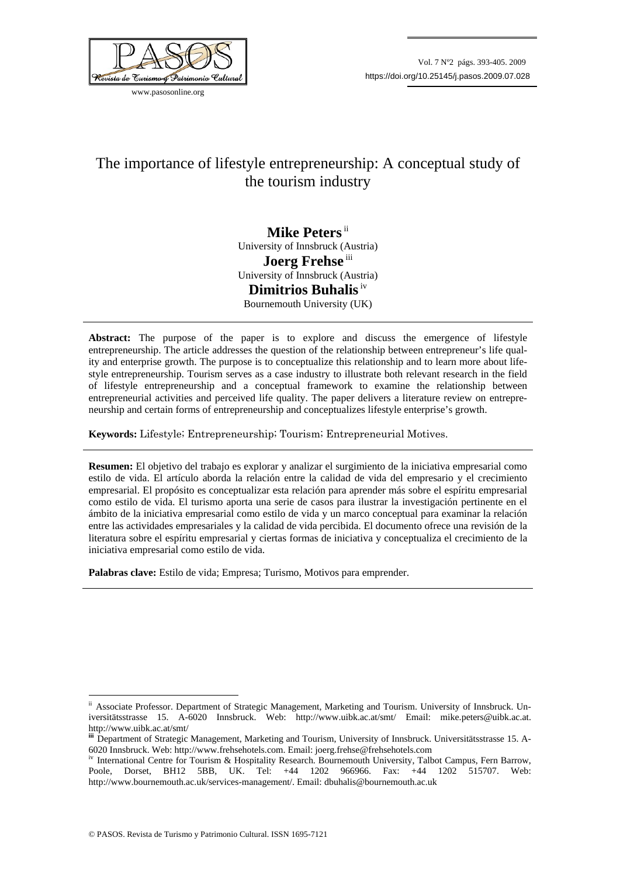

www.pasosonline.org

# The importance of lifestyle entrepreneurship: A conceptual study of the tourism industry

**Mike Peters** ii University of Innsbruck (Austria) **Joerg Frehse** iii University of Innsbruck (Austria) **Dimitrios Buhalis** iv Bournemouth University (UK)

**Abstract:** The purpose of the paper is to explore and discuss the emergence of lifestyle entrepreneurship. The article addresses the question of the relationship between entrepreneur's life quality and enterprise growth. The purpose is to conceptualize this relationship and to learn more about lifestyle entrepreneurship. Tourism serves as a case industry to illustrate both relevant research in the field of lifestyle entrepreneurship and a conceptual framework to examine the relationship between entrepreneurial activities and perceived life quality. The paper delivers a literature review on entrepreneurship and certain forms of entrepreneurship and conceptualizes lifestyle enterprise's growth.

**Keywords:** Lifestyle; Entrepreneurship; Tourism; Entrepreneurial Motives.

**Resumen:** El objetivo del trabajo es explorar y analizar el surgimiento de la iniciativa empresarial como estilo de vida. El artículo aborda la relación entre la calidad de vida del empresario y el crecimiento empresarial. El propósito es conceptualizar esta relación para aprender más sobre el espíritu empresarial como estilo de vida. El turismo aporta una serie de casos para ilustrar la investigación pertinente en el ámbito de la iniciativa empresarial como estilo de vida y un marco conceptual para examinar la relación entre las actividades empresariales y la calidad de vida percibida. El documento ofrece una revisión de la literatura sobre el espíritu empresarial y ciertas formas de iniciativa y conceptualiza el crecimiento de la iniciativa empresarial como estilo de vida.

**Palabras clave:** Estilo de vida; Empresa; Turismo, Motivos para emprender.

1

ii Associate Professor. Department of Strategic Management, Marketing and Tourism. University of Innsbruck. Universitätsstrasse 15. A-6020 Innsbruck. Web: http://www.uibk.ac.at/smt/ Email: mike.peters@uibk.ac.at. http://www.uibk.ac.at/smt/

**iii** Department of Strategic Management, Marketing and Tourism, University of Innsbruck. Universitätsstrasse 15. A-6020 Innsbruck. Web: http://www.frehsehotels.com. Email: joerg.frehse@frehsehotels.com<br>iv International Centre for Tourism & Hospitality Research. Bournemouth University, Talbot Campus, Fern Barrow,

Poole, Dorset, BH12 5BB, UK. Tel: +44 1202 966966. Fax: +44 1202 515707. Web: http://www.bournemouth.ac.uk/services-management/. Email: dbuhalis@bournemouth.ac.uk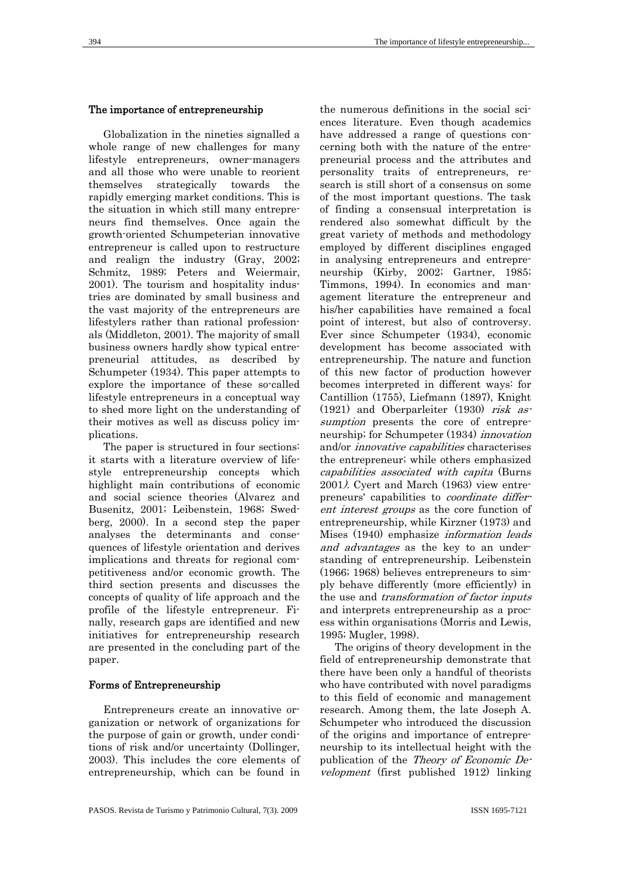### The importance of entrepreneurship

Globalization in the nineties signalled a whole range of new challenges for many lifestyle entrepreneurs, owner-managers and all those who were unable to reorient themselves strategically towards the rapidly emerging market conditions. This is the situation in which still many entrepreneurs find themselves. Once again the growth-oriented Schumpeterian innovative entrepreneur is called upon to restructure and realign the industry (Gray, 2002; Schmitz, 1989; Peters and Weiermair, 2001). The tourism and hospitality industries are dominated by small business and the vast majority of the entrepreneurs are lifestylers rather than rational professionals (Middleton, 2001). The majority of small business owners hardly show typical entrepreneurial attitudes, as described by Schumpeter (1934). This paper attempts to explore the importance of these so-called lifestyle entrepreneurs in a conceptual way to shed more light on the understanding of their motives as well as discuss policy implications.

The paper is structured in four sections: it starts with a literature overview of lifestyle entrepreneurship concepts which highlight main contributions of economic and social science theories (Alvarez and Busenitz, 2001; Leibenstein, 1968; Swedberg, 2000). In a second step the paper analyses the determinants and consequences of lifestyle orientation and derives implications and threats for regional competitiveness and/or economic growth. The third section presents and discusses the concepts of quality of life approach and the profile of the lifestyle entrepreneur. Finally, research gaps are identified and new initiatives for entrepreneurship research are presented in the concluding part of the paper.

#### Forms of Entrepreneurship

Entrepreneurs create an innovative organization or network of organizations for the purpose of gain or growth, under conditions of risk and/or uncertainty (Dollinger, 2003). This includes the core elements of entrepreneurship, which can be found in

the numerous definitions in the social sciences literature. Even though academics have addressed a range of questions concerning both with the nature of the entrepreneurial process and the attributes and personality traits of entrepreneurs, research is still short of a consensus on some of the most important questions. The task of finding a consensual interpretation is rendered also somewhat difficult by the great variety of methods and methodology employed by different disciplines engaged in analysing entrepreneurs and entrepreneurship (Kirby, 2002; Gartner, 1985; Timmons, 1994). In economics and management literature the entrepreneur and his/her capabilities have remained a focal point of interest, but also of controversy. Ever since Schumpeter (1934), economic development has become associated with entrepreneurship. The nature and function of this new factor of production however becomes interpreted in different ways: for Cantillion (1755), Liefmann (1897), Knight (1921) and Oberparleiter (1930) risk assumption presents the core of entrepreneurship; for Schumpeter (1934) innovation and/or innovative capabilities characterises the entrepreneur; while others emphasized capabilities associated with capita (Burns 2001). Cyert and March (1963) view entrepreneurs' capabilities to coordinate different interest groups as the core function of entrepreneurship, while Kirzner (1973) and Mises (1940) emphasize information leads and advantages as the key to an understanding of entrepreneurship. Leibenstein (1966; 1968) believes entrepreneurs to simply behave differently (more efficiently) in the use and *transformation of factor inputs* and interprets entrepreneurship as a process within organisations (Morris and Lewis, 1995; Mugler, 1998).

The origins of theory development in the field of entrepreneurship demonstrate that there have been only a handful of theorists who have contributed with novel paradigms to this field of economic and management research. Among them, the late Joseph A. Schumpeter who introduced the discussion of the origins and importance of entrepreneurship to its intellectual height with the publication of the Theory of Economic Development (first published 1912) linking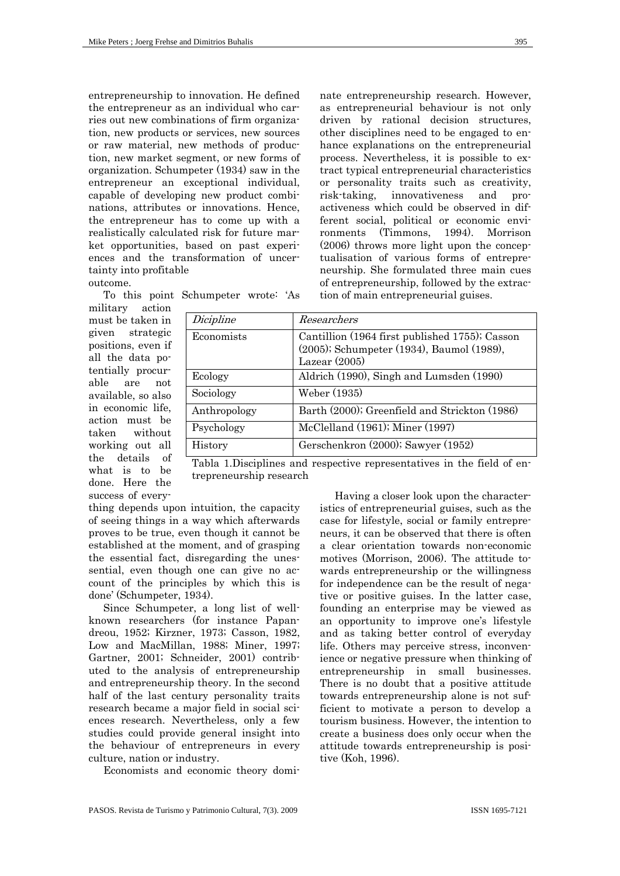entrepreneurship to innovation. He defined the entrepreneur as an individual who carries out new combinations of firm organization, new products or services, new sources or raw material, new methods of production, new market segment, or new forms of organization. Schumpeter (1934) saw in the entrepreneur an exceptional individual, capable of developing new product combinations, attributes or innovations. Hence, the entrepreneur has to come up with a realistically calculated risk for future market opportunities, based on past experiences and the transformation of uncertainty into profitable

outcome.

To this point Schumpeter wrote: 'As

military action must be taken in given strategic positions, even if all the data potentially procurable are not available, so also in economic life, action must be taken without working out all the details of what is to be done. Here the success of every-

| Dicipline    | Researchers                                                                                                    |  |
|--------------|----------------------------------------------------------------------------------------------------------------|--|
| Economists   | Cantillion (1964 first published 1755); Casson<br>(2005); Schumpeter (1934), Baumol (1989),<br>Lazear $(2005)$ |  |
| Ecology      | Aldrich (1990), Singh and Lumsden (1990)                                                                       |  |
| Sociology    | Weber (1935)                                                                                                   |  |
| Anthropology | Barth (2000); Greenfield and Strickton (1986)                                                                  |  |
| Psychology   | McClelland $(1961)$ ; Miner $(1997)$                                                                           |  |
| History      | Gerschenkron (2000); Sawyer (1952)                                                                             |  |

Tabla 1.Disciplines and respective representatives in the field of entrepreneurship research

thing depends upon intuition, the capacity of seeing things in a way which afterwards proves to be true, even though it cannot be established at the moment, and of grasping the essential fact, disregarding the unessential, even though one can give no account of the principles by which this is done' (Schumpeter, 1934).

Since Schumpeter, a long list of wellknown researchers (for instance Papandreou, 1952; Kirzner, 1973; Casson, 1982, Low and MacMillan, 1988; Miner, 1997; Gartner, 2001; Schneider, 2001) contributed to the analysis of entrepreneurship and entrepreneurship theory. In the second half of the last century personality traits research became a major field in social sciences research. Nevertheless, only a few studies could provide general insight into the behaviour of entrepreneurs in every culture, nation or industry.

Economists and economic theory domi-

Having a closer look upon the characteristics of entrepreneurial guises, such as the case for lifestyle, social or family entrepreneurs, it can be observed that there is often a clear orientation towards non-economic motives (Morrison, 2006). The attitude towards entrepreneurship or the willingness for independence can be the result of negative or positive guises. In the latter case, founding an enterprise may be viewed as an opportunity to improve one's lifestyle and as taking better control of everyday life. Others may perceive stress, inconvenience or negative pressure when thinking of entrepreneurship in small businesses. There is no doubt that a positive attitude towards entrepreneurship alone is not sufficient to motivate a person to develop a tourism business. However, the intention to create a business does only occur when the attitude towards entrepreneurship is positive (Koh, 1996).

nate entrepreneurship research. However, as entrepreneurial behaviour is not only driven by rational decision structures, other disciplines need to be engaged to enhance explanations on the entrepreneurial process. Nevertheless, it is possible to extract typical entrepreneurial characteristics or personality traits such as creativity, risk-taking, innovativeness and proactiveness which could be observed in different social, political or economic environments (Timmons, 1994). Morrison (2006) throws more light upon the conceptualisation of various forms of entrepreneurship. She formulated three main cues of entrepreneurship, followed by the extrac-

tion of main entrepreneurial guises.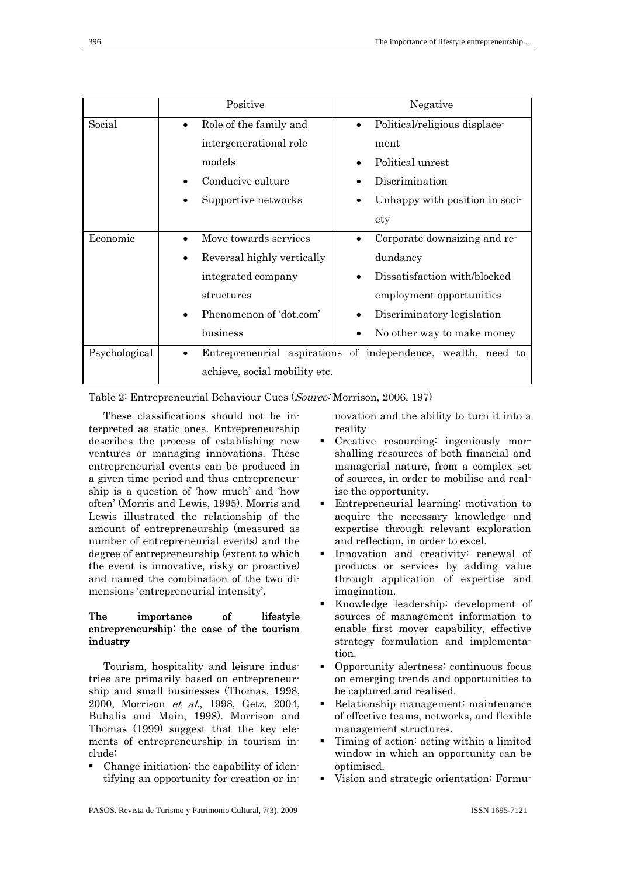|               | Positive                                                     | Negative                                   |
|---------------|--------------------------------------------------------------|--------------------------------------------|
| Social        | Role of the family and<br>$\bullet$                          | Political/religious displace-<br>$\bullet$ |
|               | intergenerational role                                       | ment                                       |
|               | models                                                       | Political unrest                           |
|               | Conducive culture                                            | Discrimination                             |
|               | Supportive networks                                          | Unhappy with position in soci-             |
|               |                                                              | ety                                        |
| Economic      | Move towards services                                        | Corporate downsizing and re-               |
|               | Reversal highly vertically                                   | dundancy                                   |
|               | integrated company                                           | Dissatisfaction with/blocked               |
|               | structures                                                   | employment opportunities                   |
|               | Phenomenon of 'dot.com'                                      | Discriminatory legislation                 |
|               | $_{\rm business}$                                            | No other way to make money                 |
| Psychological | Entrepreneurial aspirations of independence, wealth, need to |                                            |
|               | achieve, social mobility etc.                                |                                            |

Table 2: Entrepreneurial Behaviour Cues (Source: Morrison, 2006, 197)

These classifications should not be interpreted as static ones. Entrepreneurship describes the process of establishing new ventures or managing innovations. These entrepreneurial events can be produced in a given time period and thus entrepreneurship is a question of 'how much' and 'how often' (Morris and Lewis, 1995). Morris and Lewis illustrated the relationship of the amount of entrepreneurship (measured as number of entrepreneurial events) and the degree of entrepreneurship (extent to which the event is innovative, risky or proactive) and named the combination of the two dimensions 'entrepreneurial intensity'.

# The importance of lifestyle entrepreneurship: the case of the tourism industry

Tourism, hospitality and leisure industries are primarily based on entrepreneurship and small businesses (Thomas, 1998, 2000, Morrison et al., 1998, Getz, 2004, Buhalis and Main, 1998). Morrison and Thomas (1999) suggest that the key elements of entrepreneurship in tourism include:

 Change initiation: the capability of identifying an opportunity for creation or innovation and the ability to turn it into a reality

- Creative resourcing: ingeniously marshalling resources of both financial and managerial nature, from a complex set of sources, in order to mobilise and realise the opportunity.
- Entrepreneurial learning: motivation to acquire the necessary knowledge and expertise through relevant exploration and reflection, in order to excel.
- Innovation and creativity: renewal of products or services by adding value through application of expertise and imagination.
- Knowledge leadership: development of sources of management information to enable first mover capability, effective strategy formulation and implementation.
- Opportunity alertness: continuous focus on emerging trends and opportunities to be captured and realised.
- Relationship management: maintenance of effective teams, networks, and flexible management structures.
- Timing of action: acting within a limited window in which an opportunity can be optimised.
- Vision and strategic orientation: Formu-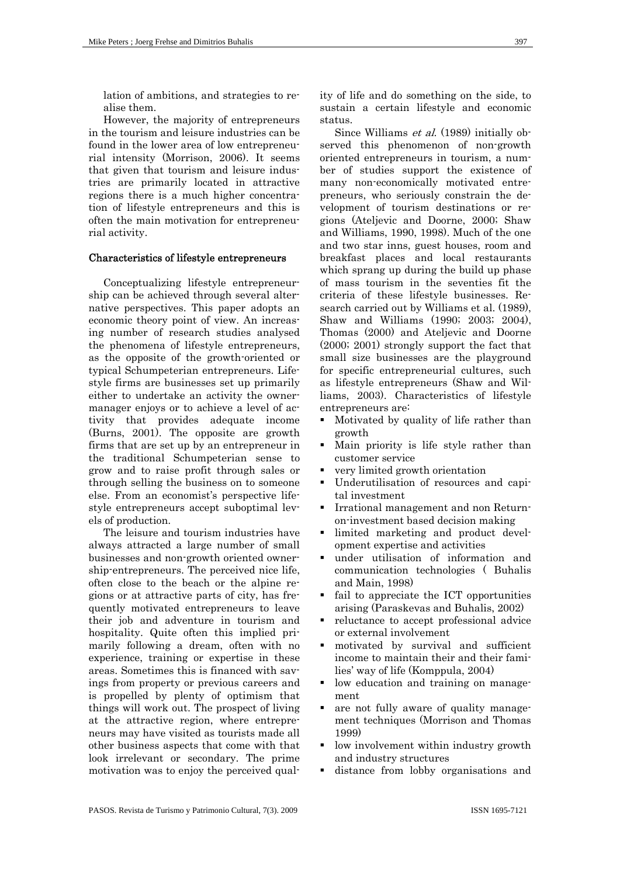lation of ambitions, and strategies to realise them.

However, the majority of entrepreneurs in the tourism and leisure industries can be found in the lower area of low entrepreneurial intensity (Morrison, 2006). It seems that given that tourism and leisure industries are primarily located in attractive regions there is a much higher concentration of lifestyle entrepreneurs and this is often the main motivation for entrepreneurial activity.

### Characteristics of lifestyle entrepreneurs

Conceptualizing lifestyle entrepreneurship can be achieved through several alternative perspectives. This paper adopts an economic theory point of view. An increasing number of research studies analysed the phenomena of lifestyle entrepreneurs, as the opposite of the growth-oriented or typical Schumpeterian entrepreneurs. Lifestyle firms are businesses set up primarily either to undertake an activity the ownermanager enjoys or to achieve a level of activity that provides adequate income (Burns, 2001). The opposite are growth firms that are set up by an entrepreneur in the traditional Schumpeterian sense to grow and to raise profit through sales or through selling the business on to someone else. From an economist's perspective lifestyle entrepreneurs accept suboptimal levels of production.

The leisure and tourism industries have always attracted a large number of small businesses and non-growth oriented ownership-entrepreneurs. The perceived nice life, often close to the beach or the alpine regions or at attractive parts of city, has frequently motivated entrepreneurs to leave their job and adventure in tourism and hospitality. Quite often this implied primarily following a dream, often with no experience, training or expertise in these areas. Sometimes this is financed with savings from property or previous careers and is propelled by plenty of optimism that things will work out. The prospect of living at the attractive region, where entrepreneurs may have visited as tourists made all other business aspects that come with that look irrelevant or secondary. The prime motivation was to enjoy the perceived quality of life and do something on the side, to sustain a certain lifestyle and economic status.

Since Williams *et al.* (1989) initially observed this phenomenon of non-growth oriented entrepreneurs in tourism, a number of studies support the existence of many non-economically motivated entrepreneurs, who seriously constrain the development of tourism destinations or regions (Ateljevic and Doorne, 2000; Shaw and Williams, 1990, 1998). Much of the one and two star inns, guest houses, room and breakfast places and local restaurants which sprang up during the build up phase of mass tourism in the seventies fit the criteria of these lifestyle businesses. Research carried out by Williams et al. (1989), Shaw and Williams (1990; 2003; 2004), Thomas (2000) and Ateljevic and Doorne (2000; 2001) strongly support the fact that small size businesses are the playground for specific entrepreneurial cultures, such as lifestyle entrepreneurs (Shaw and Williams, 2003). Characteristics of lifestyle entrepreneurs are:

- Motivated by quality of life rather than growth
- Main priority is life style rather than customer service
- very limited growth orientation
- Underutilisation of resources and capital investment
- Irrational management and non Returnon-investment based decision making
- limited marketing and product development expertise and activities
- under utilisation of information and communication technologies ( Buhalis and Main, 1998)
- fail to appreciate the ICT opportunities arising (Paraskevas and Buhalis, 2002)
- reluctance to accept professional advice or external involvement
- motivated by survival and sufficient income to maintain their and their families' way of life (Komppula, 2004)
- low education and training on management
- are not fully aware of quality management techniques (Morrison and Thomas 1999)
- low involvement within industry growth and industry structures
- distance from lobby organisations and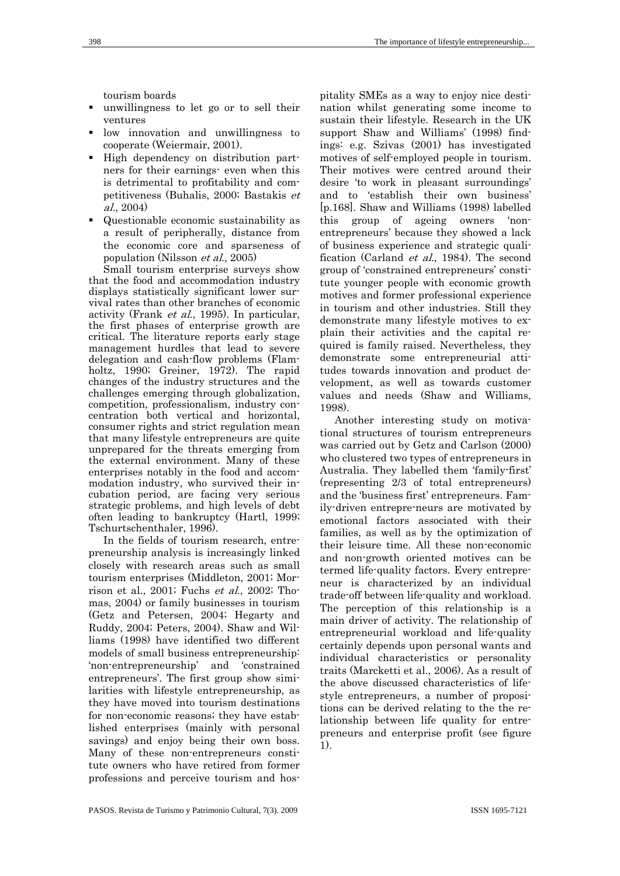tourism boards

- unwillingness to let go or to sell their ventures
- low innovation and unwillingness to cooperate (Weiermair, 2001).
- High dependency on distribution partners for their earnings- even when this is detrimental to profitability and competitiveness (Buhalis, 2000; Bastakis et al., 2004)
- Questionable economic sustainability as a result of peripherally, distance from the economic core and sparseness of population (Nilsson et al., 2005)

Small tourism enterprise surveys show that the food and accommodation industry displays statistically significant lower survival rates than other branches of economic activity (Frank et al., 1995). In particular, the first phases of enterprise growth are critical. The literature reports early stage management hurdles that lead to severe delegation and cash-flow problems (Flamholtz, 1990; Greiner, 1972). The rapid changes of the industry structures and the challenges emerging through globalization, competition, professionalism, industry concentration both vertical and horizontal, consumer rights and strict regulation mean that many lifestyle entrepreneurs are quite unprepared for the threats emerging from the external environment. Many of these enterprises notably in the food and accommodation industry, who survived their incubation period, are facing very serious strategic problems, and high levels of debt often leading to bankruptcy (Hartl, 1999; Tschurtschenthaler, 1996).

In the fields of tourism research, entrepreneurship analysis is increasingly linked closely with research areas such as small tourism enterprises (Middleton, 2001; Morrison et al., 2001; Fuchs et al., 2002; Thomas, 2004) or family businesses in tourism (Getz and Petersen, 2004; Hegarty and Ruddy, 2004; Peters, 2004). Shaw and Williams (1998) have identified two different models of small business entrepreneurship: 'non-entrepreneurship' and 'constrained entrepreneurs'. The first group show similarities with lifestyle entrepreneurship, as they have moved into tourism destinations for non-economic reasons; they have established enterprises (mainly with personal savings) and enjoy being their own boss. Many of these non-entrepreneurs constitute owners who have retired from former professions and perceive tourism and hos-

pitality SMEs as a way to enjoy nice destination whilst generating some income to sustain their lifestyle. Research in the UK support Shaw and Williams' (1998) findings: e.g. Szivas (2001) has investigated motives of self-employed people in tourism. Their motives were centred around their desire 'to work in pleasant surroundings' and to 'establish their own business' [p.168]. Shaw and Williams (1998) labelled this group of ageing owners 'nonentrepreneurs' because they showed a lack of business experience and strategic qualification (Carland et al., 1984). The second group of 'constrained entrepreneurs' constitute younger people with economic growth motives and former professional experience in tourism and other industries. Still they demonstrate many lifestyle motives to explain their activities and the capital required is family raised. Nevertheless, they demonstrate some entrepreneurial attitudes towards innovation and product development, as well as towards customer values and needs (Shaw and Williams, 1998).

Another interesting study on motivational structures of tourism entrepreneurs was carried out by Getz and Carlson (2000) who clustered two types of entrepreneurs in Australia. They labelled them 'family-first' (representing 2/3 of total entrepreneurs) and the 'business first' entrepreneurs. Family-driven entrepre-neurs are motivated by emotional factors associated with their families, as well as by the optimization of their leisure time. All these non-economic and non-growth oriented motives can be termed life-quality factors. Every entrepreneur is characterized by an individual trade-off between life-quality and workload. The perception of this relationship is a main driver of activity. The relationship of entrepreneurial workload and life-quality certainly depends upon personal wants and individual characteristics or personality traits (Marcketti et al., 2006). As a result of the above discussed characteristics of lifestyle entrepreneurs, a number of propositions can be derived relating to the the relationship between life quality for entrepreneurs and enterprise profit (see figure 1).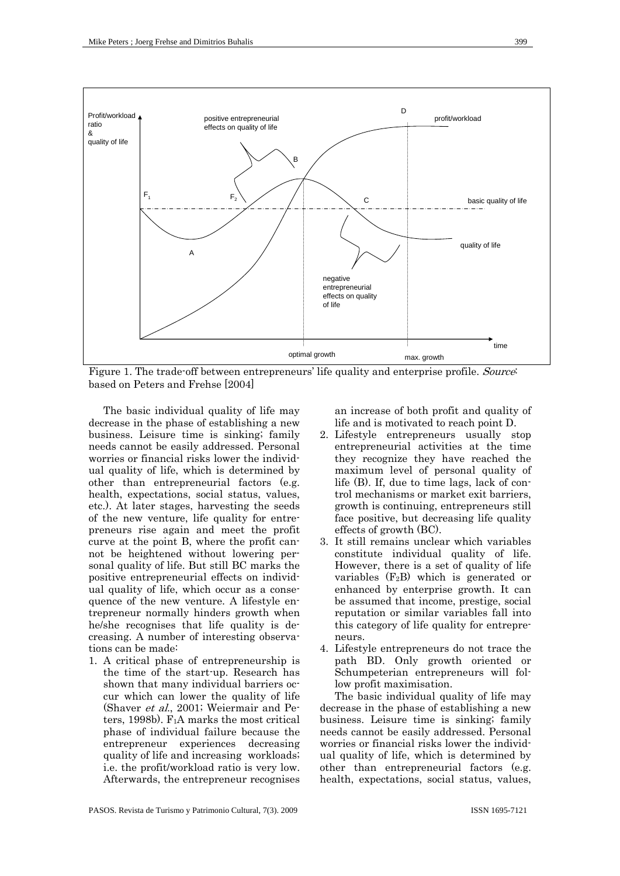

Figure 1. The trade-off between entrepreneurs' life quality and enterprise profile. Source: based on Peters and Frehse [2004]

The basic individual quality of life may decrease in the phase of establishing a new business. Leisure time is sinking; family needs cannot be easily addressed. Personal worries or financial risks lower the individual quality of life, which is determined by other than entrepreneurial factors (e.g. health, expectations, social status, values, etc.). At later stages, harvesting the seeds of the new venture, life quality for entrepreneurs rise again and meet the profit curve at the point B, where the profit cannot be heightened without lowering personal quality of life. But still BC marks the positive entrepreneurial effects on individual quality of life, which occur as a consequence of the new venture. A lifestyle entrepreneur normally hinders growth when he/she recognises that life quality is decreasing. A number of interesting observations can be made:

1. A critical phase of entrepreneurship is the time of the start-up. Research has shown that many individual barriers occur which can lower the quality of life (Shaver et al., 2001; Weiermair and Peters, 1998b). F1A marks the most critical phase of individual failure because the entrepreneur experiences decreasing quality of life and increasing workloads; i.e. the profit/workload ratio is very low. Afterwards, the entrepreneur recognises

an increase of both profit and quality of life and is motivated to reach point D.

- 2. Lifestyle entrepreneurs usually stop entrepreneurial activities at the time they recognize they have reached the maximum level of personal quality of life (B). If, due to time lags, lack of control mechanisms or market exit barriers, growth is continuing, entrepreneurs still face positive, but decreasing life quality effects of growth (BC).
- 3. It still remains unclear which variables constitute individual quality of life. However, there is a set of quality of life variables  $(F_2B)$  which is generated or enhanced by enterprise growth. It can be assumed that income, prestige, social reputation or similar variables fall into this category of life quality for entrepreneurs.
- 4. Lifestyle entrepreneurs do not trace the path BD. Only growth oriented or Schumpeterian entrepreneurs will follow profit maximisation.

The basic individual quality of life may decrease in the phase of establishing a new business. Leisure time is sinking; family needs cannot be easily addressed. Personal worries or financial risks lower the individual quality of life, which is determined by other than entrepreneurial factors (e.g. health, expectations, social status, values,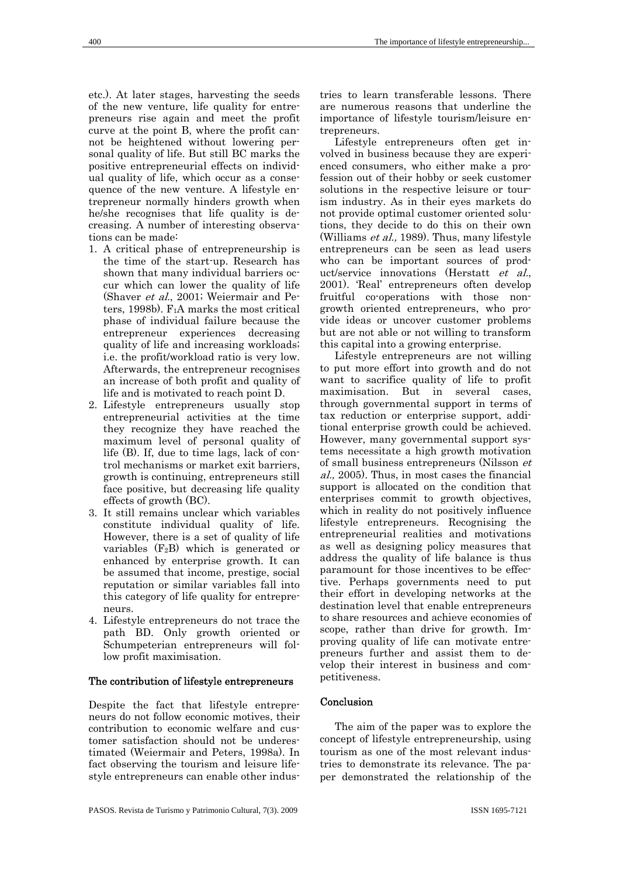etc.). At later stages, harvesting the seeds of the new venture, life quality for entrepreneurs rise again and meet the profit curve at the point B, where the profit cannot be heightened without lowering personal quality of life. But still BC marks the positive entrepreneurial effects on individual quality of life, which occur as a consequence of the new venture. A lifestyle entrepreneur normally hinders growth when he/she recognises that life quality is decreasing. A number of interesting observations can be made:

- 1. A critical phase of entrepreneurship is the time of the start-up. Research has shown that many individual barriers occur which can lower the quality of life (Shaver et al., 2001; Weiermair and Peters, 1998b). F1A marks the most critical phase of individual failure because the entrepreneur experiences decreasing quality of life and increasing workloads; i.e. the profit/workload ratio is very low. Afterwards, the entrepreneur recognises an increase of both profit and quality of life and is motivated to reach point D.
- 2. Lifestyle entrepreneurs usually stop entrepreneurial activities at the time they recognize they have reached the maximum level of personal quality of life (B). If, due to time lags, lack of control mechanisms or market exit barriers, growth is continuing, entrepreneurs still face positive, but decreasing life quality effects of growth (BC).
- 3. It still remains unclear which variables constitute individual quality of life. However, there is a set of quality of life variables  $(F_2B)$  which is generated or enhanced by enterprise growth. It can be assumed that income, prestige, social reputation or similar variables fall into this category of life quality for entrepreneurs.
- 4. Lifestyle entrepreneurs do not trace the path BD. Only growth oriented or Schumpeterian entrepreneurs will follow profit maximisation.

#### The contribution of lifestyle entrepreneurs

Despite the fact that lifestyle entrepreneurs do not follow economic motives, their contribution to economic welfare and customer satisfaction should not be underestimated (Weiermair and Peters, 1998a). In fact observing the tourism and leisure lifestyle entrepreneurs can enable other indus-

tries to learn transferable lessons. There are numerous reasons that underline the importance of lifestyle tourism/leisure entrepreneurs.

Lifestyle entrepreneurs often get involved in business because they are experienced consumers, who either make a profession out of their hobby or seek customer solutions in the respective leisure or tourism industry. As in their eyes markets do not provide optimal customer oriented solutions, they decide to do this on their own (Williams et al., 1989). Thus, many lifestyle entrepreneurs can be seen as lead users who can be important sources of product/service innovations (Herstatt et al., 2001). 'Real' entrepreneurs often develop fruitful co-operations with those nongrowth oriented entrepreneurs, who provide ideas or uncover customer problems but are not able or not willing to transform this capital into a growing enterprise.

Lifestyle entrepreneurs are not willing to put more effort into growth and do not want to sacrifice quality of life to profit maximisation. But in several cases, through governmental support in terms of tax reduction or enterprise support, additional enterprise growth could be achieved. However, many governmental support systems necessitate a high growth motivation of small business entrepreneurs (Nilsson et al., 2005). Thus, in most cases the financial support is allocated on the condition that enterprises commit to growth objectives, which in reality do not positively influence lifestyle entrepreneurs. Recognising the entrepreneurial realities and motivations as well as designing policy measures that address the quality of life balance is thus paramount for those incentives to be effective. Perhaps governments need to put their effort in developing networks at the destination level that enable entrepreneurs to share resources and achieve economies of scope, rather than drive for growth. Improving quality of life can motivate entrepreneurs further and assist them to develop their interest in business and competitiveness.

## Conclusion

The aim of the paper was to explore the concept of lifestyle entrepreneurship, using tourism as one of the most relevant industries to demonstrate its relevance. The paper demonstrated the relationship of the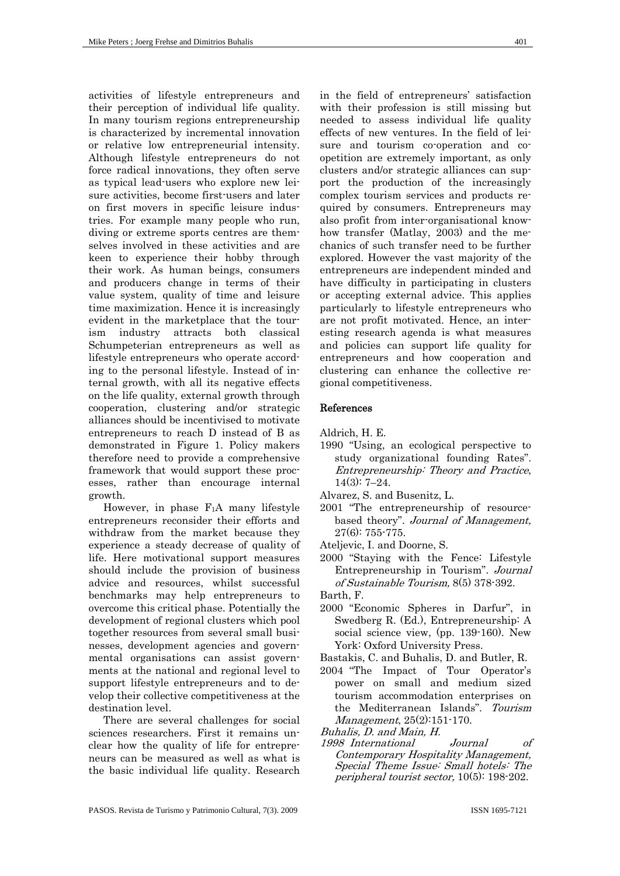activities of lifestyle entrepreneurs and their perception of individual life quality. In many tourism regions entrepreneurship is characterized by incremental innovation or relative low entrepreneurial intensity. Although lifestyle entrepreneurs do not force radical innovations, they often serve as typical lead-users who explore new leisure activities, become first-users and later on first movers in specific leisure industries. For example many people who run, diving or extreme sports centres are themselves involved in these activities and are keen to experience their hobby through their work. As human beings, consumers and producers change in terms of their value system, quality of time and leisure time maximization. Hence it is increasingly evident in the marketplace that the tourism industry attracts both classical Schumpeterian entrepreneurs as well as lifestyle entrepreneurs who operate according to the personal lifestyle. Instead of internal growth, with all its negative effects on the life quality, external growth through cooperation, clustering and/or strategic alliances should be incentivised to motivate entrepreneurs to reach D instead of B as demonstrated in Figure 1. Policy makers therefore need to provide a comprehensive framework that would support these processes, rather than encourage internal growth.

However, in phase  $F_1A$  many lifestyle entrepreneurs reconsider their efforts and withdraw from the market because they experience a steady decrease of quality of life. Here motivational support measures should include the provision of business advice and resources, whilst successful benchmarks may help entrepreneurs to overcome this critical phase. Potentially the development of regional clusters which pool together resources from several small businesses, development agencies and governmental organisations can assist governments at the national and regional level to support lifestyle entrepreneurs and to develop their collective competitiveness at the destination level.

There are several challenges for social sciences researchers. First it remains unclear how the quality of life for entrepreneurs can be measured as well as what is the basic individual life quality. Research

in the field of entrepreneurs' satisfaction with their profession is still missing but needed to assess individual life quality effects of new ventures. In the field of leisure and tourism co-operation and coopetition are extremely important, as only clusters and/or strategic alliances can support the production of the increasingly complex tourism services and products required by consumers. Entrepreneurs may also profit from inter-organisational knowhow transfer (Matlay, 2003) and the mechanics of such transfer need to be further explored. However the vast majority of the entrepreneurs are independent minded and have difficulty in participating in clusters or accepting external advice. This applies particularly to lifestyle entrepreneurs who are not profit motivated. Hence, an interesting research agenda is what measures and policies can support life quality for entrepreneurs and how cooperation and clustering can enhance the collective regional competitiveness.

#### References

Aldrich, H. E.

- 1990 "Using, an ecological perspective to study organizational founding Rates". Entrepreneurship: Theory and Practice, 14(3): 7–24.
- Alvarez, S. and Busenitz, L.
- 2001 "The entrepreneurship of resourcebased theory". Journal of Management, 27(6): 755-775.
- Ateljevic, I. and Doorne, S.

2000 "Staying with the Fence: Lifestyle Entrepreneurship in Tourism". Journal of Sustainable Tourism, 8(5) 378-392.

Barth, F.

- 2000 "Economic Spheres in Darfur", in Swedberg R. (Ed.), Entrepreneurship: A social science view, (pp. 139-160). New York: Oxford University Press.
- Bastakis, C. and Buhalis, D. and Butler, R.
- 2004 "The Impact of Tour Operator's power on small and medium sized tourism accommodation enterprises on the Mediterranean Islands". Tourism Management, 25(2):151-170.

Buhalis, D. and Main, H.

1998 International Journal of Contemporary Hospitality Management, Special Theme Issue: Small hotels: The peripheral tourist sector, 10(5): 198-202.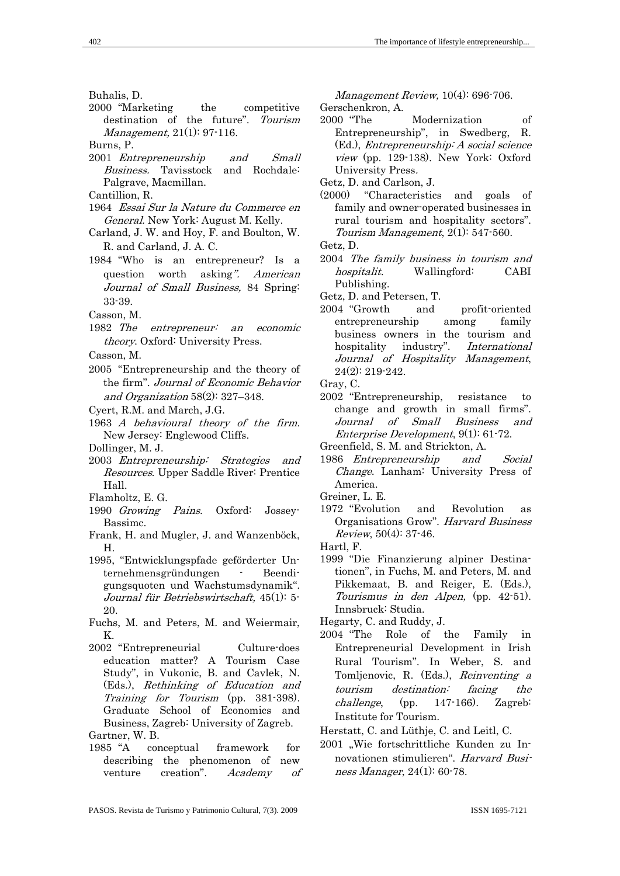Buhalis, D.

- 2000 "Marketing the competitive destination of the future". Tourism Management, 21(1): 97-116.
- Burns, P.
- 2001 Entrepreneurship and Small Business. Tavisstock and Rochdale: Palgrave, Macmillan.
- Cantillion, R.
- 1964 Essai Sur la Nature du Commerce en General. New York: August M. Kelly.
- Carland, J. W. and Hoy, F. and Boulton, W. R. and Carland, J. A. C.
- 1984 "Who is an entrepreneur? Is a question worth asking". American Journal of Small Business, 84 Spring: 33-39.
- Casson, M.
- 1982 The entrepreneur: an economic theory. Oxford: University Press.
- Casson, M.
- 2005 "Entrepreneurship and the theory of the firm". Journal of Economic Behavior and Organization 58(2): 327–348.
- Cyert, R.M. and March, J.G.
- 1963 A behavioural theory of the firm. New Jersey: Englewood Cliffs.
- Dollinger, M. J.
- 2003 Entrepreneurship: Strategies and Resources. Upper Saddle River: Prentice Hall.
- Flamholtz, E. G.
- 1990 Growing Pains. Oxford: Jossey-Bassimc.
- Frank, H. and Mugler, J. and Wanzenböck, H.
- 1995, "Entwicklungspfade geförderter Unternehmensgründungen - Beendigungsquoten und Wachstumsdynamik". Journal für Betriebswirtschaft, 45(1): 5- 20.
- Fuchs, M. and Peters, M. and Weiermair, K.
- 2002 "Entrepreneurial Culture-does education matter? A Tourism Case Study", in Vukonic, B. and Cavlek, N. (Eds.), Rethinking of Education and Training for Tourism (pp. 381-398). Graduate School of Economics and Business, Zagreb: University of Zagreb. Gartner, W. B.
- 1985 "A conceptual framework for describing the phenomenon of new venture creation". Academy of

Management Review, 10(4): 696-706.

- Gerschenkron, A.
- 2000 "The Modernization of Entrepreneurship", in Swedberg, R. (Ed.), Entrepreneurship: A social science view (pp. 129-138). New York: Oxford University Press.
- Getz, D. and Carlson, J.
- (2000) "Characteristics and goals of family and owner-operated businesses in rural tourism and hospitality sectors". Tourism Management, 2(1): 547-560.

- 2004 The family business in tourism and hospitalit. Wallingford: CABI Publishing.
- Getz, D. and Petersen, T.
- 2004 "Growth and profit-oriented entrepreneurship among family business owners in the tourism and hospitality industry". *International* Journal of Hospitality Management, 24(2): 219-242.

Gray, C.

- 2002 "Entrepreneurship, resistance to change and growth in small firms". Journal of Small Business and Enterprise Development, 9(1): 61-72.
- Greenfield, S. M. and Strickton, A.
- 1986 Entrepreneurship and Social Change. Lanham: University Press of America.
- Greiner, L. E.
- 1972 "Evolution and Revolution as Organisations Grow". Harvard Business *Review*,  $50(4)$ : 37-46.
- Hartl, F.
- 1999 "Die Finanzierung alpiner Destinationen", in Fuchs, M. and Peters, M. and Pikkemaat, B. and Reiger, E. (Eds.), Tourismus in den Alpen, (pp. 42-51). Innsbruck: Studia.

Hegarty, C. and Ruddy, J.

- 2004 "The Role of the Family in Entrepreneurial Development in Irish Rural Tourism". In Weber, S. and Tomljenovic, R. (Eds.), Reinventing a tourism destination: facing the challenge, (pp. 147-166). Zagreb: Institute for Tourism.
- Herstatt, C. and Lüthje, C. and Leitl, C.
- 2001 "Wie fortschrittliche Kunden zu Innovationen stimulieren". Harvard Business Manager, 24(1): 60-78.

Getz, D.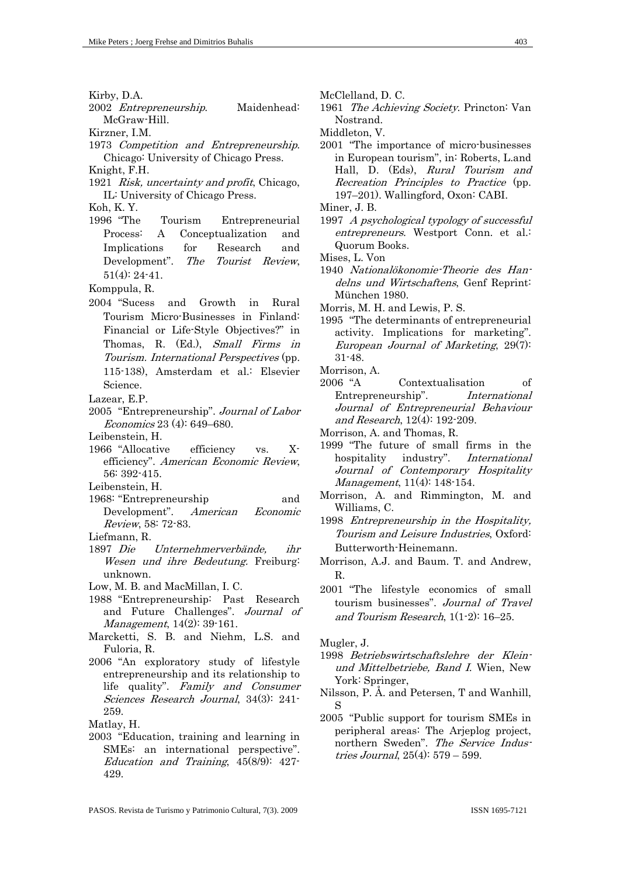Kirby, D.A.

- 2002 Entrepreneurship. Maidenhead: McGraw-Hill.
- Kirzner, I.M.
- 1973 Competition and Entrepreneurship. Chicago: University of Chicago Press.
- Knight, F.H.
- 1921 *Risk, uncertainty and profit*, Chicago, IL: University of Chicago Press.

Koh, K. Y.

1996 "The Tourism Entrepreneurial Process: A Conceptualization and Implications for Research and Development". The Tourist Review, 51(4): 24-41.

Komppula, R.

- 2004 "Sucess and Growth in Rural Tourism Micro-Businesses in Finland: Financial or Life-Style Objectives?" in Thomas, R. (Ed.), Small Firms in Tourism. International Perspectives (pp. 115-138), Amsterdam et al.: Elsevier Science.
- Lazear, E.P.
- 2005 "Entrepreneurship". Journal of Labor Economics 23 (4): 649–680.
- Leibenstein, H.
- 1966 "Allocative efficiency vs. Xefficiency". American Economic Review, 56: 392-415.

Leibenstein, H.

- 1968: "Entrepreneurship and Development". American Economic Review, 58: 72-83.
- Liefmann, R.
- 1897 Die Unternehmerverbände, ihr Wesen und ihre Bedeutung. Freiburg: unknown.

Low, M. B. and MacMillan, I. C.

- 1988 "Entrepreneurship: Past Research and Future Challenges". Journal of Management, 14(2): 39-161.
- Marcketti, S. B. and Niehm, L.S. and Fuloria, R.
- 2006 "An exploratory study of lifestyle entrepreneurship and its relationship to life quality". Family and Consumer Sciences Research Journal, 34(3): 241- 259.

Matlay, H.

2003 "Education, training and learning in SMEs: an international perspective". Education and Training, 45(8/9): 427- 429.

McClelland, D. C.

- 1961 The Achieving Society. Princton: Van Nostrand.
- Middleton, V.
- 2001 "The importance of micro-businesses in European tourism", in: Roberts, L.and Hall, D. (Eds), Rural Tourism and Recreation Principles to Practice (pp. 197–201). Wallingford, Oxon: CABI.

Miner, J. B.

1997 A psychological typology of successful entrepreneurs. Westport Conn. et al.: Quorum Books.

Mises, L. Von

- 1940 Nationalökonomie-Theorie des Handelns und Wirtschaftens, Genf Reprint: München 1980.
- Morris, M. H. and Lewis, P. S.
- 1995 "The determinants of entrepreneurial activity. Implications for marketing". European Journal of Marketing, 29(7): 31-48.

Morrison, A.

2006 "A Contextualisation of Entrepreneurship". International Journal of Entrepreneurial Behaviour and Research, 12(4): 192-209.

Morrison, A. and Thomas, R.

1999 "The future of small firms in the hospitality industry". *International* Journal of Contemporary Hospitality Management, 11(4): 148-154.

- Morrison, A. and Rimmington, M. and Williams, C.
- 1998 Entrepreneurship in the Hospitality, Tourism and Leisure Industries, Oxford: Butterworth-Heinemann.
- Morrison, A.J. and Baum. T. and Andrew, R.
- 2001 "The lifestyle economics of small tourism businesses". Journal of Travel and Tourism Research, 1(1-2): 16–25.

Mugler, J.

- 1998 Betriebswirtschaftslehre der Kleinund Mittelbetriebe, Band I. Wien, New York: Springer,
- Nilsson, P. Å. and Petersen, T and Wanhill, S
- 2005 "Public support for tourism SMEs in peripheral areas: The Arjeplog project, northern Sweden". The Service Industries Journal, 25(4): 579 – 599.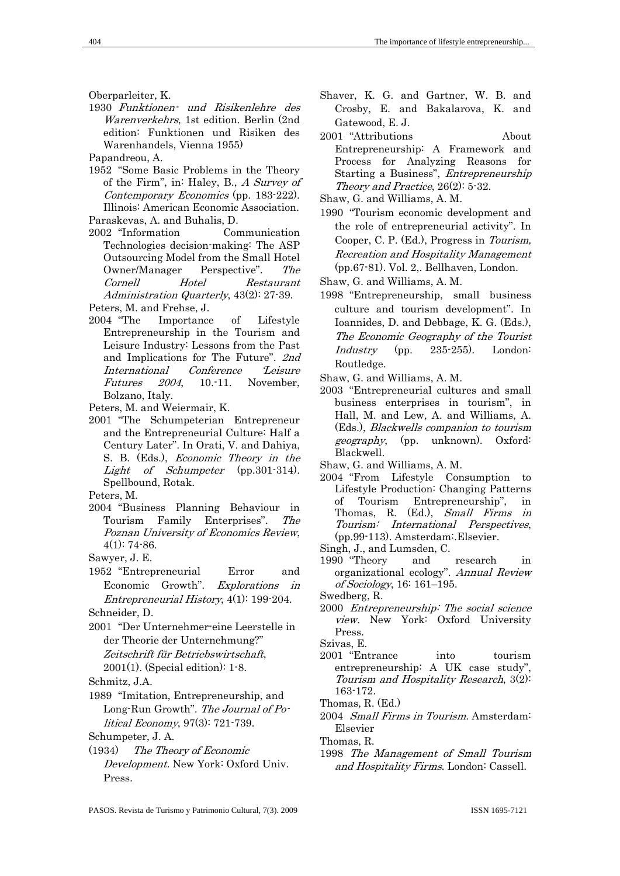Oberparleiter, K.

1930 Funktionen- und Risikenlehre des Warenverkehrs, 1st edition. Berlin (2nd edition: Funktionen und Risiken des Warenhandels, Vienna 1955)

1952 "Some Basic Problems in the Theory of the Firm", in: Haley, B., A Survey of Contemporary Economics (pp. 183-222). Illinois: American Economic Association.

Paraskevas, A. and Buhalis, D.

2002 "Information Communication Technologies decision-making: The ASP Outsourcing Model from the Small Hotel Owner/Manager Perspective". The Cornell Hotel Restaurant Administration Quarterly, 43(2): 27-39.

Peters, M. and Frehse, J.

2004 "The Importance of Lifestyle Entrepreneurship in the Tourism and Leisure Industry: Lessons from the Past and Implications for The Future". 2nd International Conference 'Leisure Futures 2004, 10.-11. November, Bolzano, Italy.

Peters, M. and Weiermair, K.

2001 "The Schumpeterian Entrepreneur and the Entrepreneurial Culture: Half a Century Later". In Orati, V. and Dahiya, S. B. (Eds.), Economic Theory in the Light of Schumpeter (pp.301-314). Spellbound, Rotak.

Peters, M.

2004 "Business Planning Behaviour in Tourism Family Enterprises". The Poznan University of Economics Review, 4(1): 74-86.

Sawyer, J. E.

- 1952 "Entrepreneurial Error and Economic Growth". Explorations in Entrepreneurial History, 4(1): 199-204. Schneider, D.
- 2001 "Der Unternehmer-eine Leerstelle in der Theorie der Unternehmung?" Zeitschrift für Betriebswirtschaft, 2001(1). (Special edition): 1-8.
- Schmitz, J.A.
- 1989 "Imitation, Entrepreneurship, and Long-Run Growth". The Journal of Political Economy, 97(3): 721-739.

Schumpeter, J. A.

(1934) The Theory of Economic Development. New York: Oxford Univ. Press.

- Shaver, K. G. and Gartner, W. B. and Crosby, E. and Bakalarova, K. and Gatewood, E. J.
- 2001 "Attributions About Entrepreneurship: A Framework and Process for Analyzing Reasons for Starting a Business", Entrepreneurship Theory and Practice, 26(2): 5-32.

Shaw, G. and Williams, A. M.

1990 "Tourism economic development and the role of entrepreneurial activity". In Cooper, C. P. (Ed.), Progress in Tourism, Recreation and Hospitality Management (pp.67-81). Vol. 2,. Bellhaven, London.

Shaw, G. and Williams, A. M.

1998 "Entrepreneurship, small business culture and tourism development". In Ioannides, D. and Debbage, K. G. (Eds.), The Economic Geography of the Tourist Industry (pp. 235-255). London: Routledge.

Shaw, G. and Williams, A. M.

2003 "Entrepreneurial cultures and small business enterprises in tourism", in Hall, M. and Lew, A. and Williams, A. (Eds.), Blackwells companion to tourism geography, (pp. unknown). Oxford: Blackwell.

Shaw, G. and Williams, A. M.

- 2004 "From Lifestyle Consumption to Lifestyle Production: Changing Patterns of Tourism Entrepreneurship", in Thomas, R. (Ed.), Small Firms in Tourism: International Perspectives, (pp.99-113). Amsterdam:.Elsevier.
- Singh, J., and Lumsden, C.
- 1990 "Theory and research in organizational ecology". Annual Review of Sociology, 16: 161–195.

Swedberg, R.

2000 Entrepreneurship: The social science view. New York: Oxford University Press.

Szivas, E.

2001 "Entrance into tourism entrepreneurship: A UK case study" Tourism and Hospitality Research, 3(2): 163-172.

Thomas, R. (Ed.)

2004 Small Firms in Tourism. Amsterdam: Elsevier

Thomas, R.

1998 The Management of Small Tourism and Hospitality Firms. London: Cassell.

Papandreou, A.